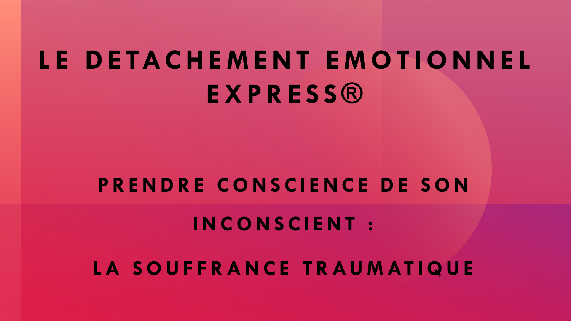# **L E D E TAC H E M E N T E M O T I O N N E L E X P R E S S ®**

### **PRENDRE CONSCIENCE DE SON**

**I N C O N S C I E N T :**

**L A S O U F F R A N C E T R AU M AT I Q U E**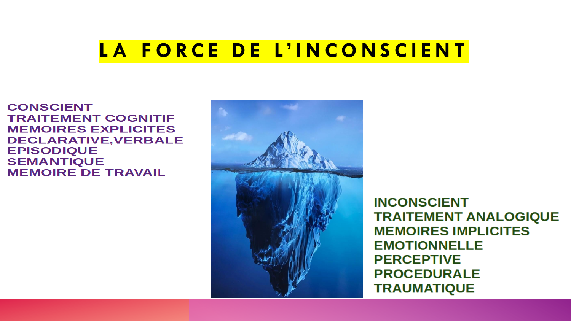### **LA FORCE DE L'INCONSCIENT**

**CONSCIENT TRAITEMENT COGNITIF MEMOIRES EXPLICITES DECLARATIVE, VERBALE EPISODIQUE SEMANTIQUE MEMOIRE DE TRAVAIL** 



**INCONSCIENT TRAITEMENT ANALOGIQUE MEMOIRES IMPLICITES EMOTIONNELLE PERCEPTIVE PROCEDURALE TRAUMATIQUE**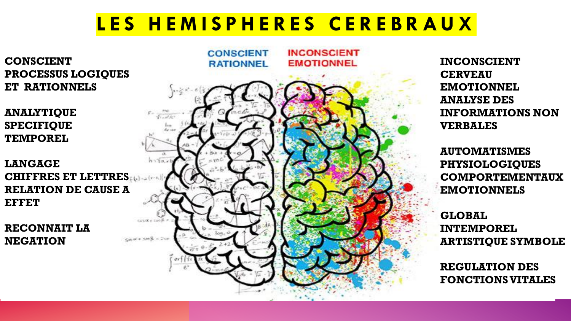### **L E S H E M I S P H E R E S C E R E B R A U X**

**CONSCIENT PROCESSUS LOGIQUES ET RATIONNELS**

**ANALYTIQUE SPECIFIQUE TEMPOREL**

**LANGAGE CHIFFRES ET LETTRES RELATION DE CAUSE A EFFET**

**RECONNAIT LA NEGATION**



**INCONSCIENT CERVEAU EMOTIONNEL ANALYSE DES INFORMATIONS NON VERBALES**

**AUTOMATISMES PHYSIOLOGIQUES COMPORTEMENTAUX EMOTIONNELS**

**GLOBAL INTEMPOREL ARTISTIQUE SYMBOLE**

**REGULATION DES FONCTIONS VITALES**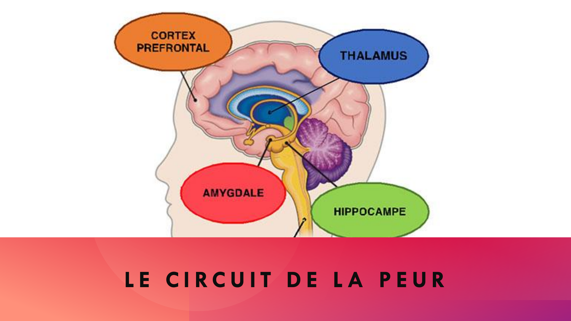# **CORTEX PREFRONTAL THALAMUS AMYGDALE HIPPOCAMPE**

### LE CIRCUIT DE LA PEUR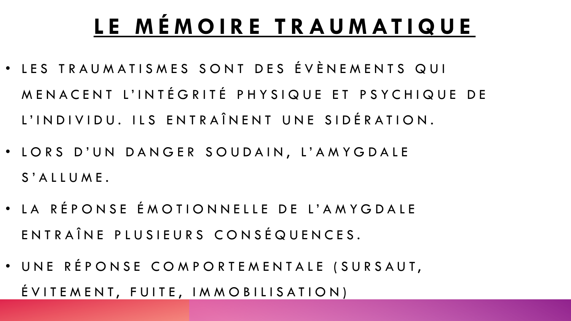## **L E M É M O I R E T R A U M AT I Q U E**

- · LES TRAUMATISMES SONT DES ÉVÈNEMENTS QUI M E N A C E N T L'INTÉGRITÉ PHYSIQUE ET PSYCHIQUE DE L'IN D I V I D U . ILS EN TRAÎNENT UNE SIDÉRATION.
- LORS D'UN DANGER SOUDAIN, L'AMYGDALE S' A L L U M E.
- LA RÉPONSE ÉMOTIONNELLE DE L'AMYGDALE ENTRAÎNE PLUSIEURS CONSÉQUENCES.
- · UNE RÉPONSE COMPORTEMENTALE (SURSAUT,  $ÉVITEMENT, FUITE, IMMOBILISATION)$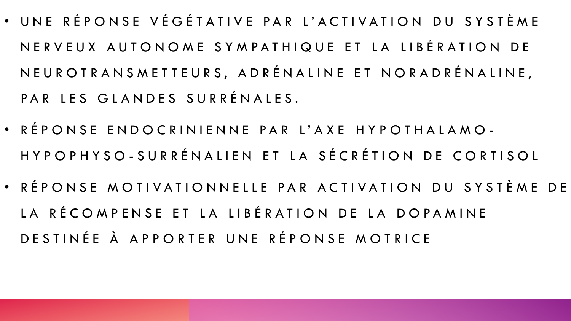- UNE RÉPONSE VÉGÉTATIVE PAR L'ACTIVATION DU SYSTÈME N E R V E U X A U T O N O M E S Y M P A T H I Q U E E T L A L I B É R A T I O N D E N E U R O T R A N S M E T T E U R S, A D R É N A L I N E E T N O R A D R É N A L I N E, PAR LES GLANDES SURRÉNALES.
- RÉPONSE ENDOCRINIENNE PAR L'AXE HYPOTHALAMO-H Y P O P H Y S O - S U R R É N A LI E N E T L A S É C R É T I O N D E C O R T I S O L
- RÉPONSE MOTIVATIONNELLE PAR ACTIVATION DU SYSTÈME DE LA RÉCOMPENSE ET LA LIBÉRATION DE LA DOPAMINE DE STINÉE À APPORTER UNE RÉPONSE MOTRICE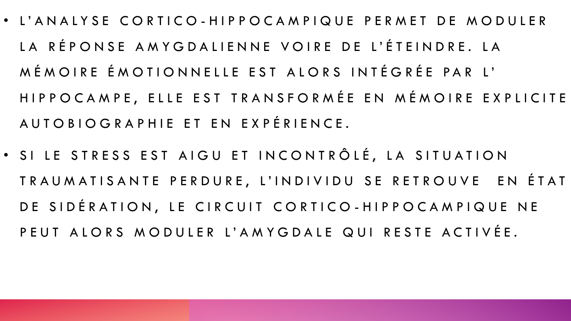- L'ANALYSE CORTICO-HIPPOCAMPIQUE PERMET DE MODULER LA RÉPONSE AMYGDALIENNE VOIRE DE L'ÉTEINDRE. LA MÉMOIRE ÉMOTIONNELLE EST ALORS INTÉGRÉE PAR L' HIP P O C A M P E, ELLE E S T T R A N S F O R M É E E N M É M O I R E E X P L I C I T E A U T O B I O G R A P H I E E T E N E X P É R I E N C E .
- SI LE STRESS EST AIGU ET INCONTRÔLÉ, LA SITUATION TRAUMATISANTE PERDURE, L'INDIVIDU SE RETROUVE EN ÉTAT DE SIDÉRATION, LE CIRCUIT CORTICO-HIPPOCAMPIQUE NE P E U T A LORS MODULER L'AMYGDALE QUI RESTE ACTIVÉE.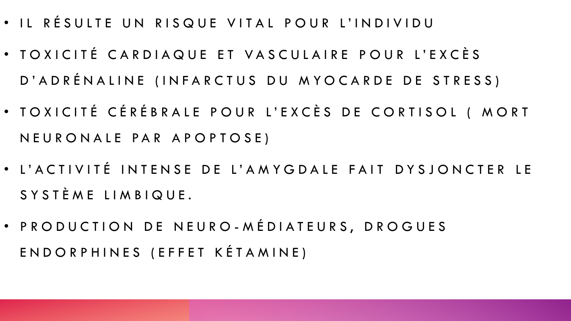- · IL RÉSULTE UN RISQUE VITAL POUR L'INDIVIDU
- · TOXICITÉ CARDIAQUE ET VASCULAIRE POUR L'EXCÈS D'A D RÉNALINE (IN FARCTUS DU MYOCARDE DE STRESS)
- · TOXICITÉ CÉRÉBRALE POUR L'EXCÈS DE CORTISOL (MORT N E U R O N A L E P A R A P O P T O S E )
- L'ACTIVITÉ INTENSE DE L'AMYGDALE FAIT DYSJONCTER LE S Y S T È M E L I M B I Q U E.
- · P R O D U C T I O N D E N E U R O M É D I A T E U R S, D R O G U E S E N D O R P H I N E S ( E F F E T K É T A M I N E )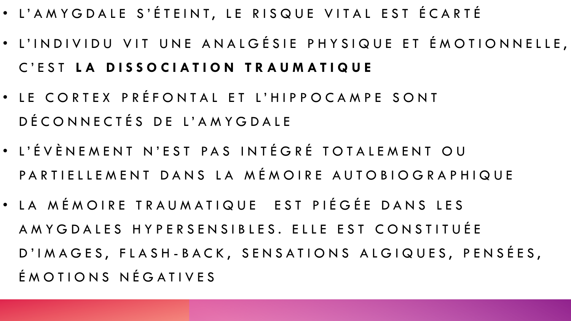- L'AMYGDALE S'ÉTEINT, LE RISQUE VITAL EST ÉCARTÉ
- · L'INDIVIDU VIT UNE ANALGÉSIE PHYSIQUE ET ÉMOTIONNELLE, C ' E S T **L A D I S S O C I A T I O N T R A U M A T I Q U E**
- LE CORTEX PRÉFONTAL ET L'HIPPOCAMPE SONT DÉ CONNECTÉS DE L'AMYGDALE
- L'ÉVÈNEMENT N'EST PAS INTÉGRÉ TOTALEMENT OU PARTIELLEMENT DANS LA MÉMOIRE AUTOBIOGRAPHIQUE
- · LA MÉMOIRE TRAUMATIQUE EST PIÉGÉE DANS LES A M Y G D A L E S H Y P E R S E N S I B L E S. E L L E S T C O N S T I T U É E D'IMAGES, FLASH-BACK, SENSATIONS ALGIQUES, PENSÉES, É MOTIONS NÉGATIVES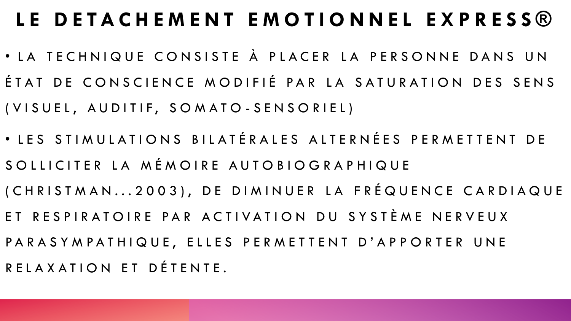### LE DETACHEMENT EMOTIONNEL EXPRESS®

- · LA TECHNIQUE CONSISTE À PLACER LA PERSONNE DANS UN ÉTAT DE CONSCIENCE MODIFIÉ PAR LA SATURATION DES SENS ( V I S U E L, A U D I T I F, S O M A T O - S E N S O R I E L )
- · LES STIMULATIONS BILATÉRALES ALTERNÉES PERMETTENT DE SO LLICITER LA MÉMOIRE AUTOBIOGRAPHIQUE (CHRISTMAN...2003), DE DIMINUER LA FRÉQUENCE CARDIAQUE ET RESPIRATOIRE PAR ACTIVATION DU SYSTÈME NERVEUX PARASYMPATHIQUE, ELLES PERMETTENT D'APPORTER UNE R E L A X A T I O N E T DÉ T E N T E .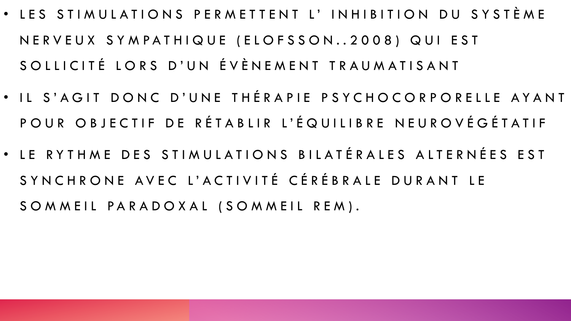- LES STIMULATIONS PERMETTENT L' INHIBITION DU SYSTÈME N E R V E U X S Y M P A T H I Q U E (E L O F S S O N . . 2 0 0 8 ) Q U I E S T SO LLICITÉ LORS D'UN ÉVÈNEMENT TRAUMATISANT
- IL S'AGIT DONC D'UNE THÉRAPIE PSYCHOCORPORELLE AYANT POUR OBJECTIF DE RÉTABLIR L'ÉQUILIBRE NEUROVÉGÉTATIF
- LE RYTHME DES STIMULATIONS BILATÉRALES ALTERNÉES EST SYNCHRONE AVEC L'ACTIVITÉ CÉRÉBRALE DURANT LE SOMMEIL PARADOXAL (SOMMEIL REM).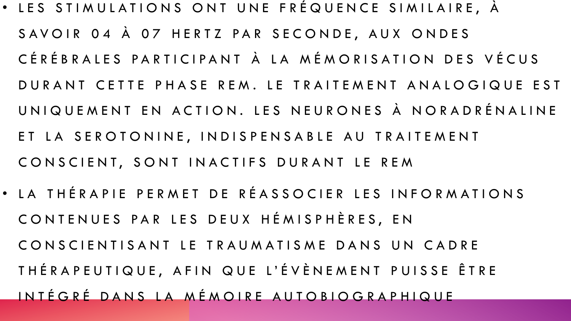- · LES STIMULATIONS ONT UNE FRÉQUENCE SIMILAIRE, À SAVOIR 04 À 07 HERTZ PAR SECONDE, AUX ONDES CÉRÉBRALES PARTICIPANT À LA MÉMORISATION DES VÉCUS DURANT CETTE PHASE REM. LE TRAITEMENT ANALOGIQUE EST UNIQUEMENT EN ACTION. LES NEURONES À NORADRÉNALINE ET LA SEROTONINE, INDISPENSABLE AU TRAITEMENT CONSCIENT, SONT INACTIFS DURANT LE REM
- · LA THÉRAPIE PERMET DE RÉASSOCIER LES INFORMATIONS CONTENUES PAR LES DEUX HÉMISPHÈRES, EN CONSCIENTISANT LE TRAUMATISME DANS UN CADRE THÉRAPEUTIQUE, AFIN QUE L'ÉVÈNEMENT PUISSE ÊTRE IN TÉGRÉ DANS LA MÉMOIRE AUTOBIOGRAPHIQUE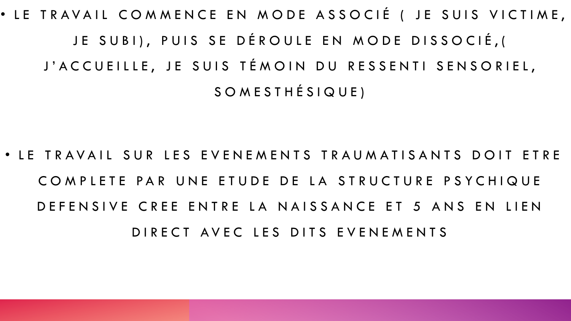• LE TRAVAIL COMMENCE EN MODE ASSOCIÉ ( JE SUIS VICTIME, JE SUBI), PUIS SE DÉROULE EN MODE DISSOCIÉ, ( J'ACCUEILLE, JE SUIS TÉMOIN DU RESSENTI SENSORIEL, S O M E S T H É S I Q U E )

• LE TRAVAIL SUR LES EVENEMENTS TRAUMATISANTS DOIT ETRE COMPLETE PAR UNE ETUDE DE LA STRUCTURE PSYCHIQUE D E FENSIVE CREE ENTRE LA NAISSANCE ET 5 ANS EN LIEN D I R E C T A V E C L E S D I T S E V E N E M E N T S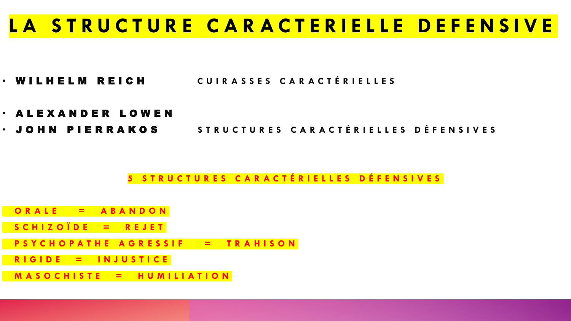### **L A S T R U C T U R E C A R A C T E R I E L L E D E F E N S I V E**

- W I L H E L M R E I C H **C U I R A S S E S C A R A C T É R I E L L E S**
- A L E X A N D E R L O W E N
- **· JOHN PIERRAKOS STRUCTURES CARACTÉRIELLES DÉFENSIVES**

**5 S T R U C T U R E S C A R A C T É R I E L L E S D É F E N S I V E S**

- **O R A L E = A B A N D O N**
- **S C H I Z O Ï D E = R E J E T**
- **P S Y C H O P A T H E A G R E S S I F = T R A H I S O N**
- **R I G I D E = I N J U S T I C E**
- **M A S O C H I S T E = H U M I L I A T I O N**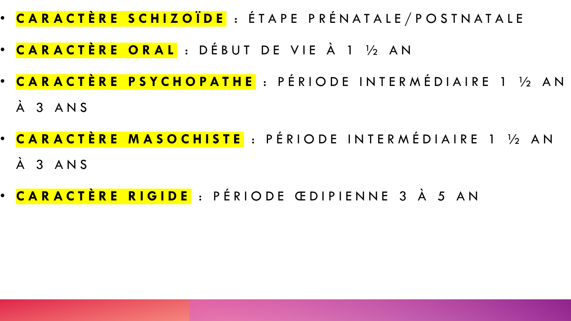- **C A R A C T È R E S C H I Z O Ï D E** : É T A P E P R É N A T A L E / P O S T N A T A L E
- **C A R A C T È R E O R A L** : D É B U T D E V I E À 1 ½ A N
- <mark>CARACTÈRE PSYCHOPATHE</mark> : PÉRIODE INTERMÉDIAIRE 1 ½ AN À 3 A N S
- <mark>CARACTÈRE MASOCHISTE</mark> : PÉRIODE INTERMÉDIAIRE 1 ½ AN À 3 A N S
- <mark>CARACTÈRE RIGIDE</mark> : PÉRIODE ŒDIPIENNE 3 À 5 AN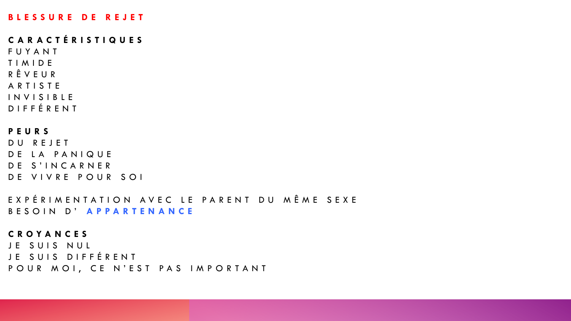#### **B L E S S U R E D E R E J E T**

#### **C A R A C T É R I S T I Q U E S**

F U Y A N T T I M I D E R Ê V E U R A R T I S T E I N V I S I B L E D I F F É R E N T

#### **P E U R S**

DU REJET DE LA PANIQUE DE S'INCARNER DE VIVRE POUR SOI

EXPÉRIMENTATION AVEC LE PARENT DU MÊME SEXE B E S O I N D ' **A P P A R T E N A N C E**

#### **C R O Y A N C E S**

JE SUIS NUL JE SUIS DIFFÉRENT POUR MOI, CE N'EST PAS IMPORTANT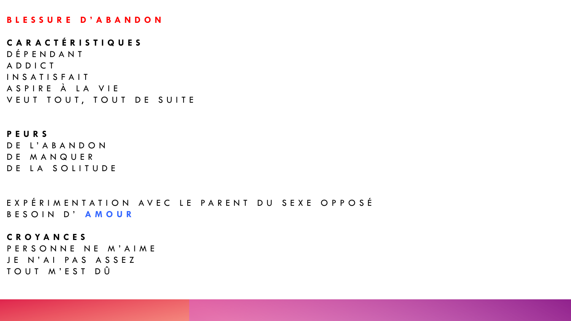#### **B L E S S U R E D ' A B A N D O N**

**C A R A C T É R I S T I Q U E S** D É P E N D A N T A D D I C T I N S A T I S F A I T A S P I R E À L A V I E VEUT TOUT, TOUT DE SUITE

#### **P E U R S**

DE L'ABANDON DE MANQUER DE LA SOLITUDE

EXPÉRIMENTATION AVEC LE PARENT DU SEXE OPPOSÉ B E S O IN D' A M O UR

#### **C R O Y A N C E S**

PERSONNE NE M'AIME JE N'AI PAS ASSEZ TOUT M'EST DÛ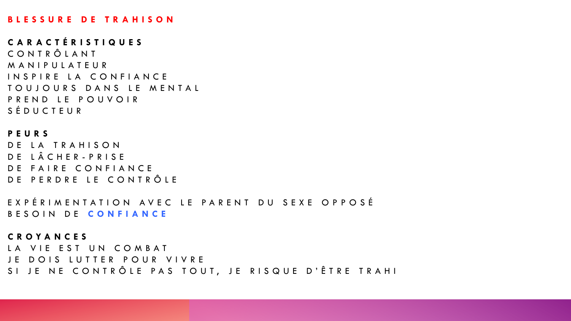#### **B L E S S U R E D E T R A H I S O N**

**C A R A C T É R I S T I Q U E S** C O N T R Ô L A N T M A N I P U L A T E U R INSPIRE LA CONFIANCE TOUJOURS DANS LE MENTAL P R E N D L E P O U V O I R S É D U C T E U R

**P E U R S** DE LA TRAHISON DE LÂCHER-PRISE DE FAIRE CONFIANCE DE PERDRE LE CONTRÔLE

E X P É R I M E N T A T I O N A V E C L E P A R E N T D U S E X E O P P O S É B E S O IN DE CONFIANCE

**C R O Y A N C E S**

LA VIE EST UN COMBAT JE DOIS LUTTER POUR VIVRE SI JE NE CONTRÔLE PAS TOUT, JE RISQUE D'ÊTRE TRAHI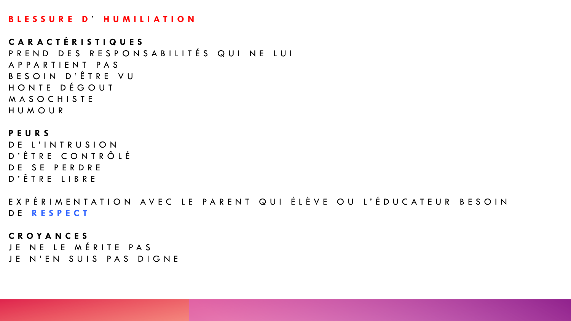#### **B L E S S U R E D** ' **H U M I L I A T I O N**

**C A R A C T É R I S T I Q U E S** P R E N D D E S R E S P O N S A B I LITÉS Q UI N E LUI A P P A R T I E N T P A S B E S O I N D'Ê T R E V U HONTE DÉGOUT M A S O C H I S T E H U M O U R

**P E U R S** DE L'INTRUSION D ' Ê T R E C O N T R Ô L É DE SE PERDRE D ' Ê T R E L I B R E

E X P É R I M E N T A T I O N A V E C L E P A R E N T Q U I ÉLÈ V E O U L'É DU C A T E U R B E S O I N D E **R E S P E C T**

**C R O Y A N C E S** JE NE LE MÉRITE PAS JE N'EN SUIS PAS DIGNE